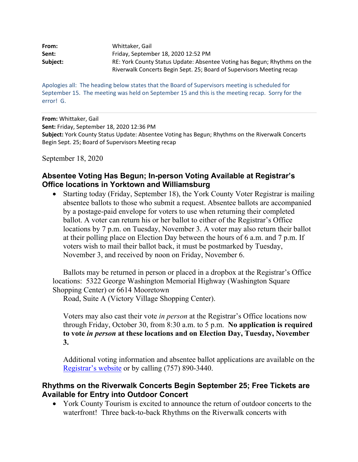| From:    | Whittaker. Gail                                                          |
|----------|--------------------------------------------------------------------------|
| Sent:    | Friday, September 18, 2020 12:52 PM                                      |
| Subject: | RE: York County Status Update: Absentee Voting has Begun; Rhythms on the |
|          | Riverwalk Concerts Begin Sept. 25; Board of Supervisors Meeting recap    |

Apologies all: The heading below states that the Board of Supervisors meeting is scheduled for September 15. The meeting was held on September 15 and this is the meeting recap. Sorry for the error! G.

**From:** Whittaker, Gail **Sent:** Friday, September 18, 2020 12:36 PM **Subject:** York County Status Update: Absentee Voting has Begun; Rhythms on the Riverwalk Concerts Begin Sept. 25; Board of Supervisors Meeting recap

September 18, 2020

## **Absentee Voting Has Begun; In-person Voting Available at Registrar's Office locations in Yorktown and Williamsburg**

• Starting today (Friday, September 18), the York County Voter Registrar is mailing absentee ballots to those who submit a request. Absentee ballots are accompanied by a postage-paid envelope for voters to use when returning their completed ballot. A voter can return his or her ballot to either of the Registrar's Office locations by 7 p.m. on Tuesday, November 3. A voter may also return their ballot at their polling place on Election Day between the hours of 6 a.m. and 7 p.m. If voters wish to mail their ballot back, it must be postmarked by Tuesday, November 3, and received by noon on Friday, November 6.

Ballots may be returned in person or placed in a dropbox at the Registrar's Office locations: 5322 George Washington Memorial Highway (Washington Square Shopping Center) or 6614 Mooretown

Road, Suite A (Victory Village Shopping Center).

Voters may also cast their vote *in person* at the Registrar's Office locations now through Friday, October 30, from 8:30 a.m. to 5 p.m. **No application is required to vote** *in person* **at these locations and on Election Day, Tuesday, November 3.**

Additional voting information and absentee ballot applications are available on the Registrar's website or by calling (757) 890-3440.

## **Rhythms on the Riverwalk Concerts Begin September 25; Free Tickets are Available for Entry into Outdoor Concert**

• York County Tourism is excited to announce the return of outdoor concerts to the waterfront! Three back-to-back Rhythms on the Riverwalk concerts with